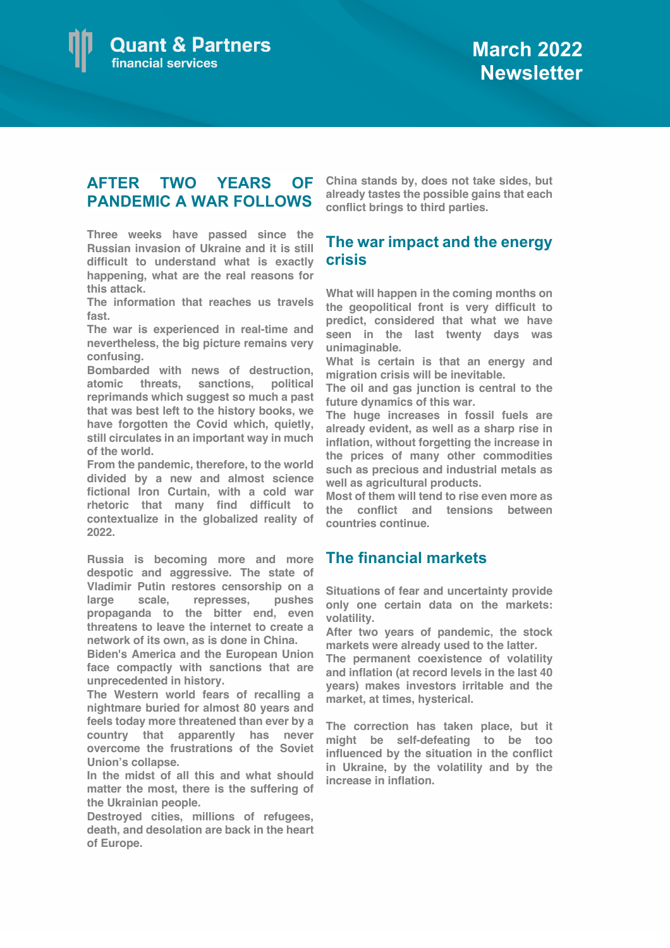

## **AFTER TWO YEARS OF PANDEMIC A WAR FOLLOWS**

**Three weeks have passed since the Russian invasion of Ukraine and it is still difficult to understand what is exactly happening, what are the real reasons for this attack.**

**The information that reaches us travels fast.** 

**The war is experienced in real-time and nevertheless, the big picture remains very confusing.**

**Bombarded with news of destruction, atomic threats, sanctions, political reprimands which suggest so much a past that was best left to the history books, we have forgotten the Covid which, quietly, still circulates in an important way in much of the world.**

**From the pandemic, therefore, to the world divided by a new and almost science fictional Iron Curtain, with a cold war rhetoric that many find difficult to contextualize in the globalized reality of 2022.**

**Russia is becoming more and more despotic and aggressive. The state of Vladimir Putin restores censorship on a large scale, represses, pushes propaganda to the bitter end, even threatens to leave the internet to create a network of its own, as is done in China.** 

**Biden's America and the European Union face compactly with sanctions that are unprecedented in history.** 

**The Western world fears of recalling a nightmare buried for almost 80 years and feels today more threatened than ever by a country that apparently has never overcome the frustrations of the Soviet Union's collapse.**

**In the midst of all this and what should matter the most, there is the suffering of the Ukrainian people.** 

**Destroyed cities, millions of refugees, death, and desolation are back in the heart of Europe.**

**China stands by, does not take sides, but already tastes the possible gains that each conflict brings to third parties.**

## **The war impact and the energy crisis**

**What will happen in the coming months on the geopolitical front is very difficult to predict, considered that what we have seen in the last twenty days was unimaginable.**

**What is certain is that an energy and migration crisis will be inevitable.**

**The oil and gas junction is central to the future dynamics of this war.**

**The huge increases in fossil fuels are already evident, as well as a sharp rise in inflation, without forgetting the increase in the prices of many other commodities such as precious and industrial metals as well as agricultural products.** 

**Most of them will tend to rise even more as the conflict and tensions between countries continue.**

## **The financial markets**

**Situations of fear and uncertainty provide only one certain data on the markets: volatility.**

**After two years of pandemic, the stock markets were already used to the latter.** 

**The permanent coexistence of volatility and inflation (at record levels in the last 40 years) makes investors irritable and the market, at times, hysterical.**

**The correction has taken place, but it might be self-defeating to be too influenced by the situation in the conflict in Ukraine, by the volatility and by the increase in inflation.**